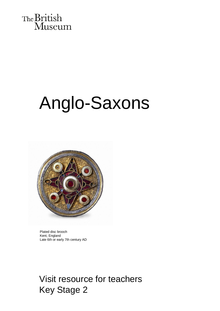

# Anglo-Saxons



Plated disc brooch Kent, England Late 6th or early 7th century AD

Visit resource for teachers Key Stage 2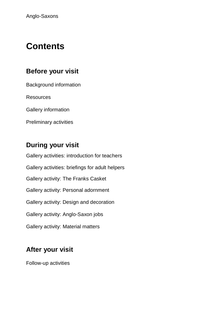# **Contents**

#### **Before your visit**

Background information

**Resources** 

Gallery information

Preliminary activities

#### **During your visit**

Gallery activities: introduction for teachers Gallery activities: briefings for adult helpers Gallery activity: The Franks Casket Gallery activity: Personal adornment Gallery activity: Design and decoration Gallery activity: Anglo-Saxon jobs Gallery activity: Material matters

#### **After your visit**

Follow-up activities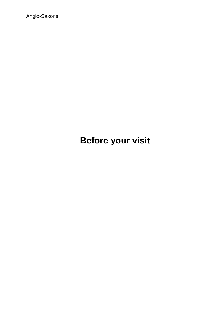Anglo-Saxons

# **Before your visit**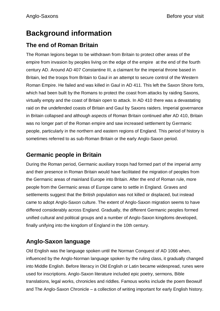# **Background information**

#### **The end of Roman Britain**

The Roman legions began to be withdrawn from Britain to protect other areas of the empire from invasion by peoples living on the edge of the empire at the end of the fourth century AD. Around AD 407 Constantine III, a claimant for the imperial throne based in Britain, led the troops from Britain to Gaul in an attempt to secure control of the Western Roman Empire. He failed and was killed in Gaul in AD 411. This left the Saxon Shore forts, which had been built by the Romans to protect the coast from attacks by raiding Saxons, virtually empty and the coast of Britain open to attack. In AD 410 there was a devastating raid on the undefended coasts of Britain and Gaul by Saxons raiders. Imperial governance in Britain collapsed and although aspects of Roman Britain continued after AD 410, Britain was no longer part of the Roman empire and saw increased settlement by Germanic people, particularly in the northern and eastern regions of England. This period of history is sometimes referred to as sub-Roman Britain or the early Anglo-Saxon period.

#### **Germanic people in Britain**

During the Roman period, Germanic auxiliary troops had formed part of the imperial army and their presence in Roman Britain would have facilitated the migration of peoples from the Germanic areas of mainland Europe into Britain. After the end of Roman rule, more people from the Germanic areas of Europe came to settle in England. Graves and settlements suggest that the British population was not killed or displaced, but instead came to adopt Anglo-Saxon [culture.](http://en.wikipedia.org/wiki/Culture) The extent of Anglo-Saxon migration seems to have differed considerably across England. Gradually, the different Germanic peoples formed unified [cultural](http://en.wikipedia.org/wiki/Culture) and political groups and a number of Anglo-Saxon kingdoms developed, finally unifying into the kingdom of [England](http://en.wikipedia.org/wiki/England) in the [10th century.](http://en.wikipedia.org/wiki/10th_century)

#### **Anglo-Saxon language**

Old English was the language spoken until the Norman Conquest of AD 1066 when, influenced by the Anglo-Norman language spoken by the ruling class, it gradually changed into Middle English. Before literacy in Old English or Latin became widespread, runes were used for inscriptions. Anglo-Saxon literature included epic poetry, sermons, Bible translations, legal works, chronicles and riddles. Famous works include the poem Beowulf and The Anglo-Saxon Chronicle – a collection of writing important for early English history.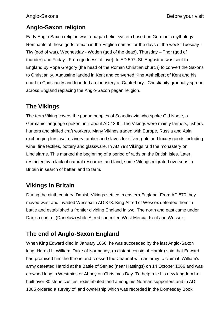#### **Anglo-Saxon religion**

Early Anglo-Saxon religion was a pagan [belief](http://en.wikipedia.org/wiki/Belief) system based on Germanic mythology. Remnants of these gods remain in the English names for the days of the week: Tuesday - [Tiw](http://en.wikipedia.org/wiki/Tiw) (god of war), Wednesday - Woden (god of the dead), Thursday – Thor (god of thunder) and Friday - [Fréo](http://en.wikipedia.org/wiki/Fr%C3%A9o) (goddess of love). In AD 597, St. Augustine was sent to England by Pope Gregory (the head of the Roman Christian church) to convert the Saxons to Christianity. Augustine landed in Kent and converted King Aethelbert of Kent and his court to Christianity and founded a monastery at Canterbury. Christianity gradually spread across England replacing the Anglo-Saxon pagan religion.

#### **The Vikings**

The term Viking covers the pagan peoples of Scandinavia who spoke Old Norse, a Germanic language spoken until about AD 1300. The Vikings were mainly farmers, fishers, hunters and skilled craft workers. Many Vikings traded with Europe, Russia and Asia, exchanging furs, walrus ivory, amber and slaves for silver, gold and luxury goods including wine, fine textiles, pottery and glassware. In AD 793 Vikings raid the monastery on Lindisfarne. This marked the beginning of a period of raids on the British Isles. Later, restricted by a lack of natural resources and land, some Vikings migrated overseas to Britain in search of better land to farm.

#### **Vikings in Britain**

During the ninth century, Danish Vikings settled in eastern England. From AD 870 they moved west and invaded Wessex in AD 878. King Alfred of Wessex defeated them in battle and established a frontier dividing England in two. The north and east came under Danish control (Danelaw) while Alfred controlled West Mercia, Kent and Wessex.

#### **The end of Anglo-Saxon England**

When King Edward died in January 1066, he was succeeded by the last Anglo-Saxon king, Harold II. William, Duke of Normandy, (a distant cousin of Harold) said that Edward had promised him the throne and crossed the Channel with an army to claim it. William's army defeated Harold at the Battle of Senlac (near Hastings) on 14 October 1066 and was crowned king in Westminster Abbey on Christmas Day. To help rule his new kingdom he built over 80 stone castles, redistributed land among his Norman supporters and in AD 1085 ordered a survey of land ownership which was recorded in the Domesday Book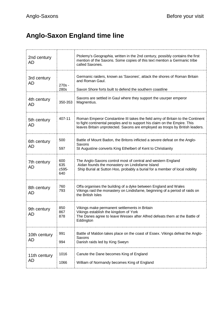# **Anglo-Saxon England time line**

| 2nd century<br>AD  |                            | Ptolemy's Geographia, written in the 2nd century, possibly contains the first<br>mention of the Saxons. Some copies of this text mention a Germanic tribe<br>called Saxones.                                                                 |  |
|--------------------|----------------------------|----------------------------------------------------------------------------------------------------------------------------------------------------------------------------------------------------------------------------------------------|--|
| 3rd century<br>AD  | 270s -<br>280s             | Germanic raiders, known as 'Saxones', attack the shores of Roman Britain<br>and Roman Gaul.<br>Saxon Shore forts built to defend the southern coastline                                                                                      |  |
| 4th century<br>AD  | 350-353                    | Saxons are settled in Gaul where they support the usurper emperor<br>Magnentius.                                                                                                                                                             |  |
| 5th century<br>AD  | 407-11                     | Roman Emperor Constantine III takes the field army of Britain to the Continent<br>to fight continental peoples and to support his claim on the Empire. This<br>leaves Britain unprotected. Saxons are employed as troops by British leaders. |  |
| 6th century<br>AD  | 500<br>597                 | Battle of Mount Badon, the Britons inflicted a severe defeat on the Anglo-<br>Saxons<br>St Augustine converts King Ethelbert of Kent to Christianity                                                                                         |  |
| 7th century<br>AD  | 600<br>635<br>c595-<br>640 | The Anglo-Saxons control most of central and western England<br>Aidan founds the monastery on Lindisfarne Island<br>Ship Burial at Sutton Hoo, probably a burial for a member of local nobility                                              |  |
| 8th century<br>AD  | 760<br>793                 | Offa organises the building of a dyke between England and Wales<br>Vikings raid the monastery on Lindisfarne, beginning of a period of raids on<br>the British Isles                                                                         |  |
| 9th century<br>AD  | 850<br>867<br>878          | Vikings make permanent settlements in Britain<br>Vikings establish the kingdom of York<br>The Danes agree to leave Wessex after Alfred defeats them at the Battle of<br>Eddington                                                            |  |
| 10th century<br>AD | 991<br>994                 | Battle of Maldon takes place on the coast of Essex. Vikings defeat the Anglo-<br>Saxons<br>Danish raids led by King Sweyn                                                                                                                    |  |
| 11th century<br>AD | 1016<br>1066               | Canute the Dane becomes King of England<br>William of Normandy becomes King of England                                                                                                                                                       |  |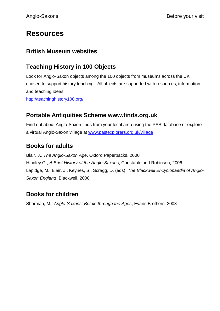## **Resources**

#### **British Museum websites**

#### **Teaching History in 100 Objects**

Look for Anglo-Saxon objects among the 100 objects from museums across the UK chosen to support history teaching. All objects are supported with resources, information and teaching ideas.

<http://teachinghistory100.org/>

#### **Portable Antiquities Scheme [www.finds.org.uk](http://www.finds.org.uk/)**

Find out about Anglo-Saxon finds from your local area using the PAS database or explore a virtual Anglo-Saxon village at [www.pastexplorers.org.uk/village](http://www.pastexplorers.org.uk/village)

#### **Books for adults**

Blair, J., *The Anglo-Saxon Age*, Oxford Paperbacks, 2000 Hindley G., *A Brief History of the Anglo-Saxons*, Constable and Robinson, 2006 Lapidge, M., Blair, J., Keynes, S., Scragg, D. (eds). *The Blackwell Encyclopaedia of Anglo-Saxon England*, Blackwell, 2000

#### **Books for children**

Sharman, M., *Anglo-Saxons: Britain through the Ages*, Evans Brothers, 2003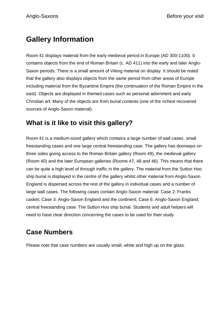# **Gallery Information**

Room 41 displays material from the early medieval period in Europe (AD 300-1100). It contains objects from the end of Roman Britain (c. AD 411) into the early and later Anglo-Saxon periods. There is a small amount of Viking material on display. It should be noted that the gallery also displays objects from the same period from other areas of Europe including material from the Byzantine Empire (the continuation of the Roman Empire in the east). Objects are displayed in themed cases such as personal adornment and early Christian art. Many of the objects are from burial contexts (one of the richest recovered sources of Anglo-Saxon material).

#### **What is it like to visit this gallery?**

Room 41 is a medium-sized gallery which contains a large number of wall cases, small freestanding cases and one large central freestanding case. The gallery has doorways on three sides giving access to the Roman Britain gallery (Room 49), the medieval gallery (Room 40) and the later European galleries (Rooms 47, 48 and 46). This means that there can be quite a high level of through traffic in the gallery. The material from the Sutton Hoo ship burial is displayed in the centre of the gallery whilst other material from Anglo-Saxon England is dispersed across the rest of the gallery in individual cases and a number of large wall cases. The following cases contain Anglo-Saxon material: Case 2: Franks casket; Case 3: Anglo-Saxon England and the continent; Case 6: Anglo-Saxon England; central freestanding case: The Sutton Hoo ship burial. Students and adult helpers will need to have clear direction concerning the cases to be used for their study

#### **Case Numbers**

Please note that case numbers are usually small, white and high up on the glass.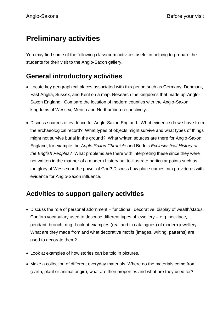# **Preliminary activities**

You may find some of the following classroom activities useful in helping to prepare the students for their visit to the Anglo-Saxon gallery.

#### **General introductory activities**

- Locate key geographical places associated with this period such as Germany, Denmark, East Anglia, Sussex, and Kent on a map. Research the kingdoms that made up Anglo-Saxon England. Compare the location of modern counties with the Anglo-Saxon kingdoms of Wessex, Merica and Northumbria respectively.
- Discuss sources of evidence for Anglo-Saxon England. What evidence do we have from the archaeological record? What types of objects might survive and what types of things might not survive burial in the ground? What written sources are there for Anglo-Saxon England, for example the *Anglo-Saxon Chronicle* and Bede's *Ecclesiastical History of the English Peoples*? What problems are there with interpreting these since they were not written in the manner of a modern history but to illustrate particular points such as the glory of Wessex or the power of God? Discuss how place names can provide us with evidence for Anglo-Saxon influence.

#### **Activities to support gallery activities**

- Discuss the role of personal adornment functional, decorative, display of wealth/status. Confirm vocabulary used to describe different types of jewellery – e.g. necklace, pendant, brooch, ring. Look at examples (real and in catalogues) of modern jewellery. What are they made from and what decorative motifs (images, writing, patterns) are used to decorate them?
- Look at examples of how stories can be told in pictures.
- Make a collection of different everyday materials. Where do the materials come from (earth, plant or animal origin), what are their properties and what are they used for?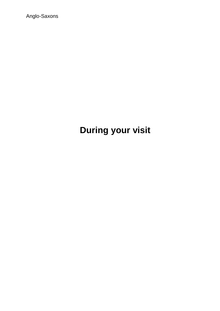Anglo-Saxons

# **During your visit**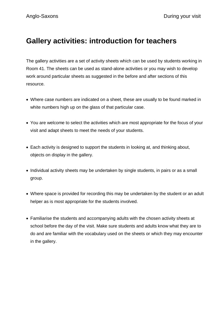#### **Gallery activities: introduction for teachers**

The gallery activities are a set of activity sheets which can be used by students working in Room 41. The sheets can be used as stand-alone activities or you may wish to develop work around particular sheets as suggested in the before and after sections of this resource.

- Where case numbers are indicated on a sheet, these are usually to be found marked in white numbers high up on the glass of that particular case.
- You are welcome to select the activities which are most appropriate for the focus of your visit and adapt sheets to meet the needs of your students.
- Each activity is designed to support the students in looking at, and thinking about, objects on display in the gallery.
- Individual activity sheets may be undertaken by single students, in pairs or as a small group.
- Where space is provided for recording this may be undertaken by the student or an adult helper as is most appropriate for the students involved.
- Familiarise the students and accompanying adults with the chosen activity sheets at school before the day of the visit. Make sure students and adults know what they are to do and are familiar with the vocabulary used on the sheets or which they may encounter in the gallery.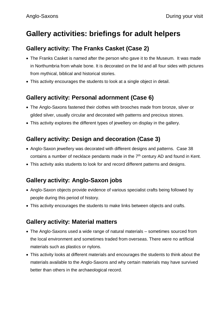## **Gallery activities: briefings for adult helpers**

#### **Gallery activity: The Franks Casket (Case 2)**

- The Franks Casket is named after the person who gave it to the Museum. It was made in Northumbria from whale bone. It is decorated on the lid and all four sides with pictures from mythical, biblical and historical stories.
- This activity encourages the students to look at a single object in detail.

#### **Gallery activity: Personal adornment (Case 6)**

- The Anglo-Saxons fastened their clothes with brooches made from bronze, silver or gilded silver, usually circular and decorated with patterns and precious stones.
- This activity explores the different types of jewellery on display in the gallery.

#### **Gallery activity: Design and decoration (Case 3)**

- Anglo-Saxon jewellery was decorated with different designs and patterns. Case 38 contains a number of necklace pendants made in the  $7<sup>th</sup>$  century AD and found in Kent.
- This activity asks students to look for and record different patterns and designs.

#### **Gallery activity: Anglo-Saxon jobs**

- Anglo-Saxon objects provide evidence of various specialist crafts being followed by people during this period of history.
- This activity encourages the students to make links between objects and crafts.

#### **Gallery activity: Material matters**

- The Anglo-Saxons used a wide range of natural materials sometimes sourced from the local environment and sometimes traded from overseas. There were no artificial materials such as plastics or nylons.
- This activity looks at different materials and encourages the students to think about the materials available to the Anglo-Saxons and why certain materials may have survived better than others in the archaeological record.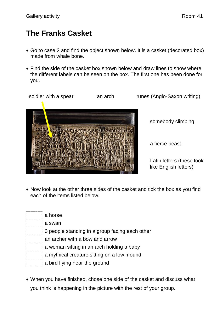# **The Franks Casket**

- Go to case 2 and find the object shown below. It is a casket (decorated box) made from whale bone.
- Find the side of the casket box shown below and draw lines to show where the different labels can be seen on the box. The first one has been done for you.



• Now look at the other three sides of the casket and tick the box as you find each of the items listed below.

| a horse                                        |
|------------------------------------------------|
| a swan                                         |
| 3 people standing in a group facing each other |
| an archer with a bow and arrow                 |
| a woman sitting in an arch holding a baby      |
| a mythical creature sitting on a low mound     |
| a bird flying near the ground                  |

 When you have finished, chose one side of the casket and discuss what you think is happening in the picture with the rest of your group.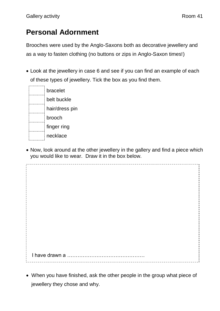# **Personal Adornment**

Brooches were used by the Anglo-Saxons both as decorative jewellery and as a way to fasten clothing (no buttons or zips in Anglo-Saxon times!)

 Look at the jewellery in case 6 and see if you can find an example of each of these types of jewellery. Tick the box as you find them.

| bracelet       |  |
|----------------|--|
| belt buckle    |  |
| hair/dress pin |  |
| brooch         |  |
| finger ring    |  |
| necklace       |  |

 Now, look around at the other jewellery in the gallery and find a piece which you would like to wear. Draw it in the box below.

 I have drawn a ……………………………………… 

 When you have finished, ask the other people in the group what piece of jewellery they chose and why.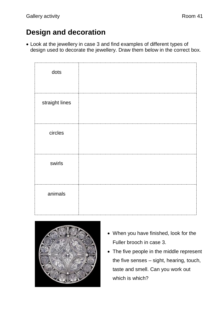# **Design and decoration**

 Look at the jewellery in case 3 and find examples of different types of design used to decorate the jewellery. Draw them below in the correct box.

| dots           |  |
|----------------|--|
| straight lines |  |
| circles        |  |
| swirls         |  |
| animals        |  |



- When you have finished, look for the Fuller brooch in case 3.
- The five people in the middle represent the five senses – sight, hearing, touch, taste and smell. Can you work out which is which?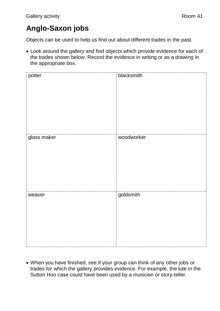# **Anglo-Saxon jobs**

Objects can be used to help us find out about different trades in the past.

 Look around the gallery and find objects which provide evidence for each of the trades shown below. Record the evidence in writing or as a drawing in the appropriate box.

| potter      | blacksmith |
|-------------|------------|
| glass maker | woodworker |
| weaver      | goldsmith  |

 When you have finished, see if your group can think of any other jobs or trades for which the gallery provides evidence. For example, the lute in the Sutton Hoo case could have been used by a musician or story-teller.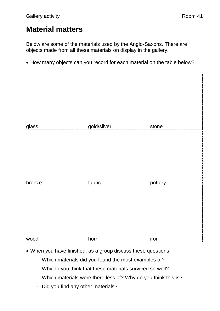# **Material matters**

Below are some of the materials used by the Anglo-Saxons. There are objects made from all these materials on display in the gallery.

• How many objects can you record for each material on the table below?

| glass  | gold/silver | stone   |
|--------|-------------|---------|
|        |             |         |
| bronze | fabric      | pottery |
|        |             |         |
| wood   | horn        | iron    |

- When you have finished, as a group discuss these questions
	- Which materials did you found the most examples of?
	- Why do you think that these materials survived so well?
	- Which materials were there less of? Why do you think this is?
	- Did you find any other materials?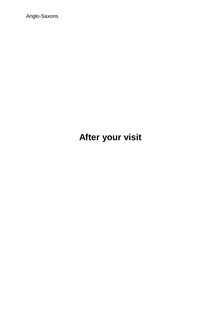Anglo-Saxons

# **After your visit**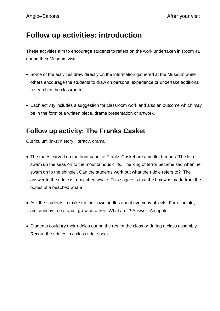#### **Follow up activities: introduction**

These activities aim to encourage students to reflect on the work undertaken in Room 41 during their Museum visit.

- Some of the activities draw directly on the information gathered at the Museum while others encourage the students to draw on personal experience or undertake additional research in the classroom.
- Each activity includes a suggestion for classroom work and also an outcome which may be in the form of a written piece, drama presentation or artwork.

#### **Follow up activity: The Franks Casket**

Curriculum links: history, literacy, drama

- The runes carved on the front panel of Franks Casket are a riddle. It reads 'The fish swam up the seas on to the mountainous cliffs. The king of terror became sad when he swam on to the shingle'. Can the students work out what the riddle refers to? The answer to the riddle is a beached whale. This suggests that the box was made from the bones of a beached whale
- Ask the students to make up their own riddles about everyday objects. For example, I am crunchy to eat and I grow on a tree. What am I? Answer: An apple.
- Students could try their riddles out on the rest of the class or during a class assembly. Record the riddles in a class riddle book.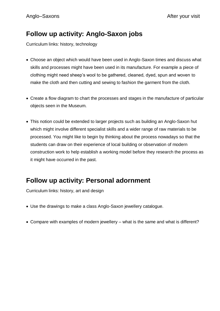## **Follow up activity: Anglo-Saxon jobs**

Curriculum links: history, technology

- Choose an object which would have been used in Anglo-Saxon times and discuss what skills and processes might have been used in its manufacture. For example a piece of clothing might need sheep's wool to be gathered, cleaned, dyed, spun and woven to make the cloth and then cutting and sewing to fashion the garment from the cloth.
- Create a flow diagram to chart the processes and stages in the manufacture of particular objects seen in the Museum.
- This notion could be extended to larger projects such as building an Anglo-Saxon hut which might involve different specialist skills and a wider range of raw materials to be processed. You might like to begin by thinking about the process nowadays so that the students can draw on their experience of local building or observation of modern construction work to help establish a working model before they research the process as it might have occurred in the past.

#### **Follow up activity: Personal adornment**

Curriculum links: history, art and design

- Use the drawings to make a class Anglo-Saxon jewellery catalogue.
- Compare with examples of modern jewellery what is the same and what is different?